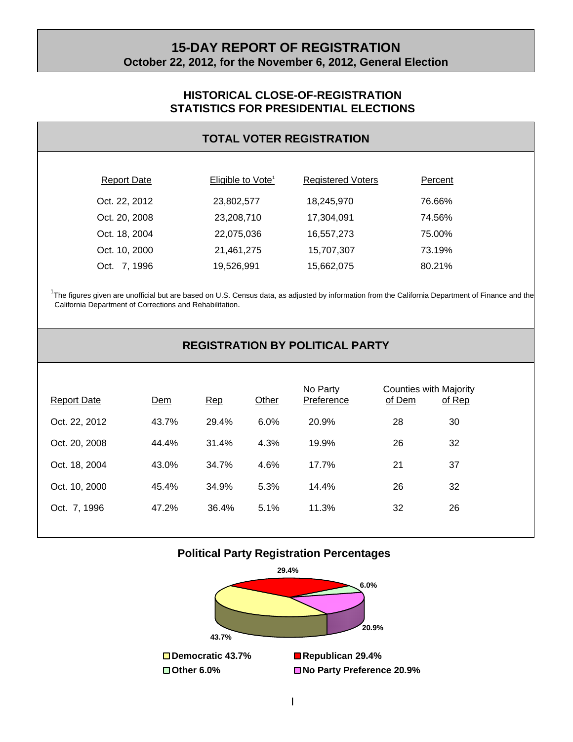# **15-DAY REPORT OF REGISTRATION October 22, 2012, for the November 6, 2012, General Election**

#### **HISTORICAL CLOSE-OF-REGISTRATION STATISTICS FOR PRESIDENTIAL ELECTIONS**

#### **TOTAL VOTER REGISTRATION**

| <b>Report Date</b> | Eligible to Vote <sup>1</sup> | <b>Registered Voters</b> | Percent |  |
|--------------------|-------------------------------|--------------------------|---------|--|
| Oct. 22, 2012      | 23,802,577                    | 18,245,970               | 76.66%  |  |
| Oct. 20, 2008      | 23,208,710                    | 17,304,091               | 74.56%  |  |
| Oct. 18, 2004      | 22,075,036                    | 16,557,273               | 75.00%  |  |
| Oct. 10, 2000      | 21,461,275                    | 15,707,307               | 73.19%  |  |
| Oct. 7, 1996       | 19,526,991                    | 15,662,075               | 80.21%  |  |

<sup>1</sup>The figures given are unofficial but are based on U.S. Census data, as adjusted by information from the California Department of Finance and the California Department of Corrections and Rehabilitation.

# **REGISTRATION BY POLITICAL PARTY**

| <b>Report Date</b> | Dem   | Rep   | Other | No Party<br>Preference | Counties with Majority<br>of Dem | of Rep |
|--------------------|-------|-------|-------|------------------------|----------------------------------|--------|
| Oct. 22, 2012      | 43.7% | 29.4% | 6.0%  | 20.9%                  | 28                               | 30     |
| Oct. 20, 2008      | 44.4% | 31.4% | 4.3%  | 19.9%                  | 26                               | 32     |
| Oct. 18, 2004      | 43.0% | 34.7% | 4.6%  | 17.7%                  | 21                               | 37     |
| Oct. 10, 2000      | 45.4% | 34.9% | 5.3%  | 14.4%                  | 26                               | 32     |
| Oct. 7, 1996       | 47.2% | 36.4% | 5.1%  | 11.3%                  | 32                               | 26     |
|                    |       |       |       |                        |                                  |        |

#### **Political Party Registration Percentages**